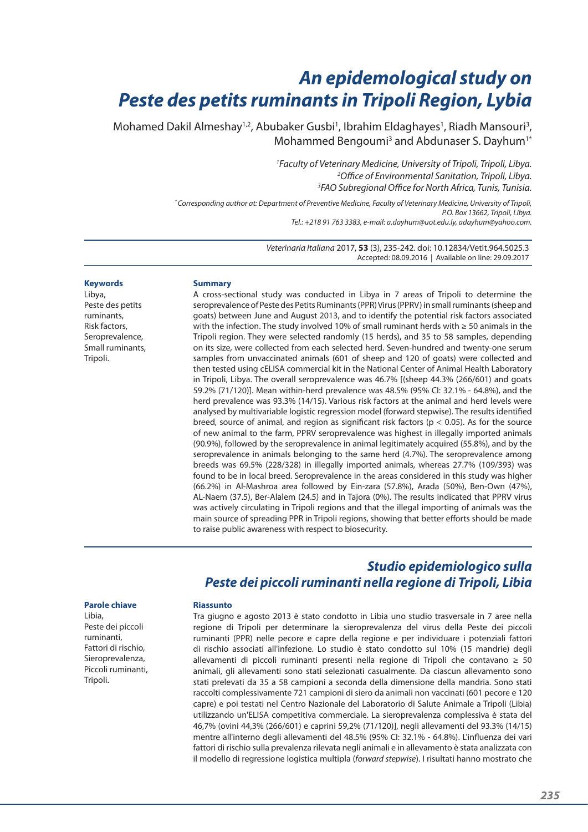# *An epidemological study on Peste des petits ruminants in Tripoli Region, Lybia*

Mohamed Dakil Almeshay<sup>1,2</sup>, Abubaker Gusbi<sup>1</sup>, Ibrahim Eldaghayes<sup>1</sup>, Riadh Mansouri<sup>3</sup>, Mohammed Bengoumi<sup>3</sup> and Abdunaser S. Dayhum<sup>1\*</sup>

> *1 Faculty of Veterinary Medicine, University of Tripoli, Tripoli, Libya. 2 Office of Environmental Sanitation, Tripoli, Libya. 3 FAO Subregional Office for North Africa, Tunis, Tunisia.*

*\* Corresponding author at: Department of Preventive Medicine, Faculty of Veterinary Medicine, University of Tripoli, P.O. Box 13662, Tripoli, Libya. Tel.: +218 91 763 3383, e-mail: a.dayhum@uot.edu.ly, adayhum@yahoo.com.*

> *Veterinaria Italiana* 2017, **53** (3), 235‑242. doi: 10.12834/VetIt.964.5025.3 Accepted: 08.09.2016 | Available on line: 29.09.2017

#### **Keywords**

Libya, Peste des petits ruminants, Risk factors, Seroprevalence, Small ruminants, Tripoli.

#### **Summary**

A cross‑sectional study was conducted in Libya in 7 areas of Tripoli to determine the seroprevalence of Peste des Petits Ruminants (PPR) Virus (PPRV) in small ruminants (sheep and goats) between June and August 2013, and to identify the potential risk factors associated with the infection. The study involved 10% of small ruminant herds with ≥ 50 animals in the Tripoli region. They were selected randomly (15 herds), and 35 to 58 samples, depending on its size, were collected from each selected herd. Seven-hundred and twenty-one serum samples from unvaccinated animals (601 of sheep and 120 of goats) were collected and then tested using cELISA commercial kit in the National Center of Animal Health Laboratory in Tripoli, Libya. The overall seroprevalence was 46.7% [(sheep 44.3% (266/601) and goats 59.2% (71/120)]. Mean within‑herd prevalence was 48.5% (95% CI: 32.1% ‑ 64.8%), and the herd prevalence was 93.3% (14/15). Various risk factors at the animal and herd levels were analysed by multivariable logistic regression model (forward stepwise). The results identified breed, source of animal, and region as significant risk factors ( $p < 0.05$ ). As for the source of new animal to the farm, PPRV seroprevalence was highest in illegally imported animals (90.9%), followed by the seroprevalence in animal legitimately acquired (55.8%), and by the seroprevalence in animals belonging to the same herd (4.7%). The seroprevalence among breeds was 69.5% (228/328) in illegally imported animals, whereas 27.7% (109/393) was found to be in local breed. Seroprevalence in the areas considered in this study was higher (66.2%) in Al‑Mashroa area followed by Ein‑zara (57.8%), Arada (50%), Ben‑Own (47%), AL‑Naem (37.5), Ber‑Alalem (24.5) and in Tajora (0%). The results indicated that PPRV virus was actively circulating in Tripoli regions and that the illegal importing of animals was the main source of spreading PPR in Tripoli regions, showing that better efforts should be made to raise public awareness with respect to biosecurity.

# *Studio epidemiologico sulla Peste dei piccoli ruminanti nella regione di Tripoli, Libia*

#### **Parole chiave**

Libia, Peste dei piccoli ruminanti, Fattori di rischio, Sieroprevalenza, Piccoli ruminanti, Tripoli.

#### **Riassunto**

Tra giugno e agosto 2013 è stato condotto in Libia uno studio trasversale in 7 aree nella regione di Tripoli per determinare la sieroprevalenza del virus della Peste dei piccoli ruminanti (PPR) nelle pecore e capre della regione e per individuare i potenziali fattori di rischio associati all'infezione. Lo studio è stato condotto sul 10% (15 mandrie) degli allevamenti di piccoli ruminanti presenti nella regione di Tripoli che contavano  $\geq 50$ animali, gli allevamenti sono stati selezionati casualmente. Da ciascun allevamento sono stati prelevati da 35 a 58 campioni a seconda della dimensione della mandria. Sono stati raccolti complessivamente 721 campioni di siero da animali non vaccinati (601 pecore e 120 capre) e poi testati nel Centro Nazionale del Laboratorio di Salute Animale a Tripoli (Libia) utilizzando un'ELISA competitiva commerciale. La sieroprevalenza complessiva è stata del 46,7% (ovini 44,3% (266/601) e caprini 59,2% (71/120)], negli allevamenti del 93.3% (14/15) mentre all'interno degli allevamenti del 48.5% (95% CI: 32.1% ‑ 64.8%). L'influenza dei vari fattori di rischio sulla prevalenza rilevata negli animali e in allevamento è stata analizzata con il modello di regressione logistica multipla (*forward stepwise*). I risultati hanno mostrato che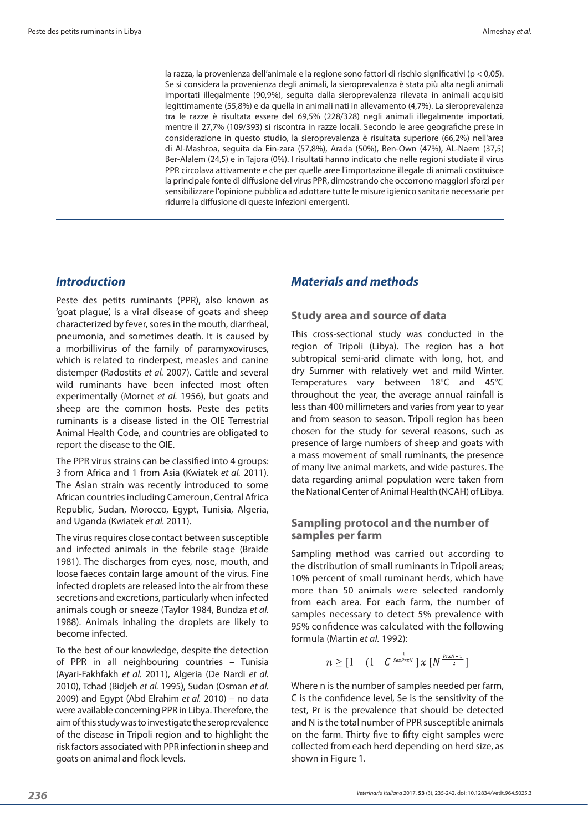la razza, la provenienza dell'animale e la regione sono fattori di rischio significativi (p < 0,05). Se si considera la provenienza degli animali, la sieroprevalenza è stata più alta negli animali importati illegalmente (90,9%), seguita dalla sieroprevalenza rilevata in animali acquisiti legittimamente (55,8%) e da quella in animali nati in allevamento (4,7%). La sieroprevalenza tra le razze è risultata essere del 69,5% (228/328) negli animali illegalmente importati, mentre il 27,7% (109/393) si riscontra in razze locali. Secondo le aree geografiche prese in considerazione in questo studio, la sieroprevalenza è risultata superiore (66,2%) nell'area di Al‑Mashroa, seguita da Ein‑zara (57,8%), Arada (50%), Ben‑Own (47%), AL‑Naem (37,5) Ber‑Alalem (24,5) e in Tajora (0%). I risultati hanno indicato che nelle regioni studiate il virus PPR circolava attivamente e che per quelle aree l'importazione illegale di animali costituisce la principale fonte di diffusione del virus PPR, dimostrando che occorrono maggiori sforzi per sensibilizzare l'opinione pubblica ad adottare tutte le misure igienico sanitarie necessarie per ridurre la diffusione di queste infezioni emergenti.

# *Introduction*

Peste des petits ruminants (PPR), also known as 'goat plague', is a viral disease of goats and sheep characterized by fever, sores in the mouth, diarrheal, pneumonia, and sometimes death. It is caused by a morbillivirus of the family of paramyxoviruses, which is related to rinderpest, measles and canine distemper (Radostits *et al.* 2007). Cattle and several wild ruminants have been infected most often experimentally (Mornet *et al.* 1956), but goats and sheep are the common hosts. Peste des petits ruminants is a disease listed in the OIE Terrestrial Animal Health Code, and countries are obligated to report the disease to the OIE.

The PPR virus strains can be classified into 4 groups: 3 from Africa and 1 from Asia (Kwiatek *et al.* 2011). The Asian strain was recently introduced to some African countries including Cameroun, Central Africa Republic, Sudan, Morocco, Egypt, Tunisia, Algeria, and Uganda (Kwiatek *et al.* 2011).

The virus requires close contact between susceptible and infected animals in the febrile stage (Braide 1981). The discharges from eyes, nose, mouth, and loose faeces contain large amount of the virus. Fine infected droplets are released into the air from these secretions and excretions, particularly when infected animals cough or sneeze (Taylor 1984, Bundza *et al.* 1988). Animals inhaling the droplets are likely to become infected.

To the best of our knowledge, despite the detection of PPR in all neighbouring countries – Tunisia (Ayari‑Fakhfakh *et al.* 2011), Algeria (De Nardi *et al.* 2010), Tchad (Bidjeh *et al.* 1995), Sudan (Osman *et al.* 2009) and Egypt (Abd Elrahim *et al.* 2010) – no data were available concerning PPR in Libya. Therefore, the aim of this study was to investigate the seroprevalence of the disease in Tripoli region and to highlight the risk factors associated with PPR infection in sheep and goats on animal and flock levels.

# *Materials and methods*

#### **Study area and source of data**

This cross-sectional study was conducted in the region of Tripoli (Libya). The region has a hot subtropical semi-arid climate with long, hot, and dry Summer with relatively wet and mild Winter. Temperatures vary between 18°C and 45°C throughout the year, the average annual rainfall is less than 400 millimeters and varies from year to year and from season to season. Tripoli region has been chosen for the study for several reasons, such as presence of large numbers of sheep and goats with a mass movement of small ruminants, the presence of many live animal markets, and wide pastures. The data regarding animal population were taken from the National Center of Animal Health (NCAH) of Libya.

#### **Sampling protocol and the number of samples per farm**

Sampling method was carried out according to the distribution of small ruminants in Tripoli areas; 10% percent of small ruminant herds, which have more than 50 animals were selected randomly from each area. For each farm, the number of samples necessary to detect 5% prevalence with 95% confidence was calculated with the following formula (Martin *et al.* 1992):

$$
n \geq \left[1 - \left(1 - C^{\frac{1}{SexPrxN}}\right)x\left[N^{\frac{PrxN-1}{2}}\right]\right]
$$

Where n is the number of samples needed per farm, C is the confidence level, Se is the sensitivity of the test, Pr is the prevalence that should be detected and N is the total number of PPR susceptible animals on the farm. Thirty five to fifty eight samples were collected from each herd depending on herd size, as shown in Figure 1.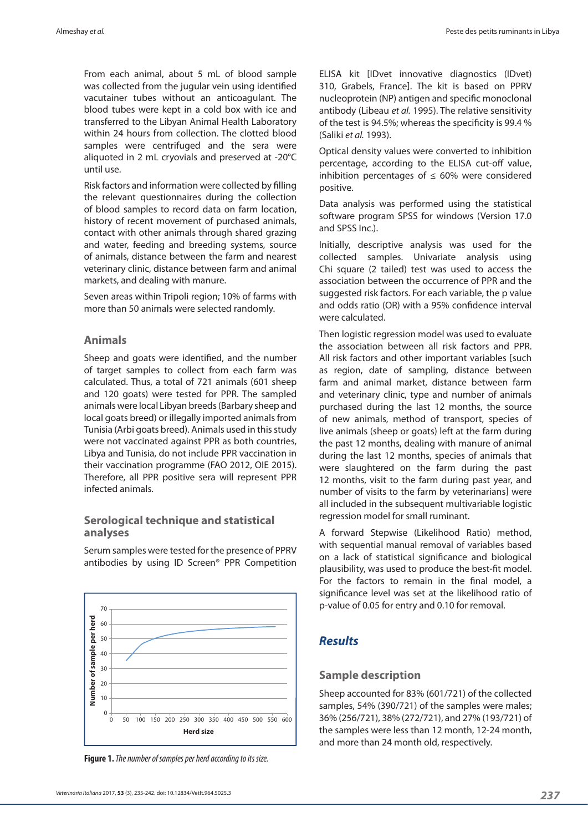From each animal, about 5 mL of blood sample was collected from the jugular vein using identified vacutainer tubes without an anticoagulant. The blood tubes were kept in a cold box with ice and transferred to the Libyan Animal Health Laboratory within 24 hours from collection. The clotted blood samples were centrifuged and the sera were aliquoted in 2 mL cryovials and preserved at ‑20°C until use.

Risk factors and information were collected by filling the relevant questionnaires during the collection of blood samples to record data on farm location, history of recent movement of purchased animals, contact with other animals through shared grazing and water, feeding and breeding systems, source of animals, distance between the farm and nearest veterinary clinic, distance between farm and animal markets, and dealing with manure.

Seven areas within Tripoli region; 10% of farms with more than 50 animals were selected randomly.

#### **Animals**

Sheep and goats were identified, and the number of target samples to collect from each farm was calculated. Thus, a total of 721 animals (601 sheep and 120 goats) were tested for PPR. The sampled animals were local Libyan breeds (Barbary sheep and local goats breed) or illegally imported animals from Tunisia (Arbi goats breed). Animals used in this study were not vaccinated against PPR as both countries, Libya and Tunisia, do not include PPR vaccination in their vaccination programme (FAO 2012, OIE 2015). Therefore, all PPR positive sera will represent PPR infected animals.

### **Serological technique and statistical analyses**

Serum samples were tested for the presence of PPRV antibodies by using ID Screen® PPR Competition



**Figure 1.** *The number of samples per herd according to its size.*

ELISA kit [IDvet innovative diagnostics (IDvet) 310, Grabels, France]. The kit is based on PPRV nucleoprotein (NP) antigen and specific monoclonal antibody (Libeau *et al.* 1995). The relative sensitivity of the test is 94.5%; whereas the specificity is 99.4 % (Saliki *et al.* 1993).

Optical density values were converted to inhibition percentage, according to the ELISA cut-off value, inhibition percentages of  $\leq 60\%$  were considered positive.

Data analysis was performed using the statistical software program SPSS for windows (Version 17.0 and SPSS Inc.).

Initially, descriptive analysis was used for the collected samples. Univariate analysis using Chi square (2 tailed) test was used to access the association between the occurrence of PPR and the suggested risk factors. For each variable, the p value and odds ratio (OR) with a 95% confidence interval were calculated.

Then logistic regression model was used to evaluate the association between all risk factors and PPR. All risk factors and other important variables [such as region, date of sampling, distance between farm and animal market, distance between farm and veterinary clinic, type and number of animals purchased during the last 12 months, the source of new animals, method of transport, species of live animals (sheep or goats) left at the farm during the past 12 months, dealing with manure of animal during the last 12 months, species of animals that were slaughtered on the farm during the past 12 months, visit to the farm during past year, and number of visits to the farm by veterinarians] were all included in the subsequent multivariable logistic regression model for small ruminant.

A forward Stepwise (Likelihood Ratio) method, with sequential manual removal of variables based on a lack of statistical significance and biological plausibility, was used to produce the best-fit model. For the factors to remain in the final model, a significance level was set at the likelihood ratio of p‑value of 0.05 for entry and 0.10 for removal.

# *Results*

### **Sample description**

Sheep accounted for 83% (601/721) of the collected samples, 54% (390/721) of the samples were males; 36% (256/721), 38% (272/721), and 27% (193/721) of the samples were less than 12 month, 12‑24 month, and more than 24 month old, respectively.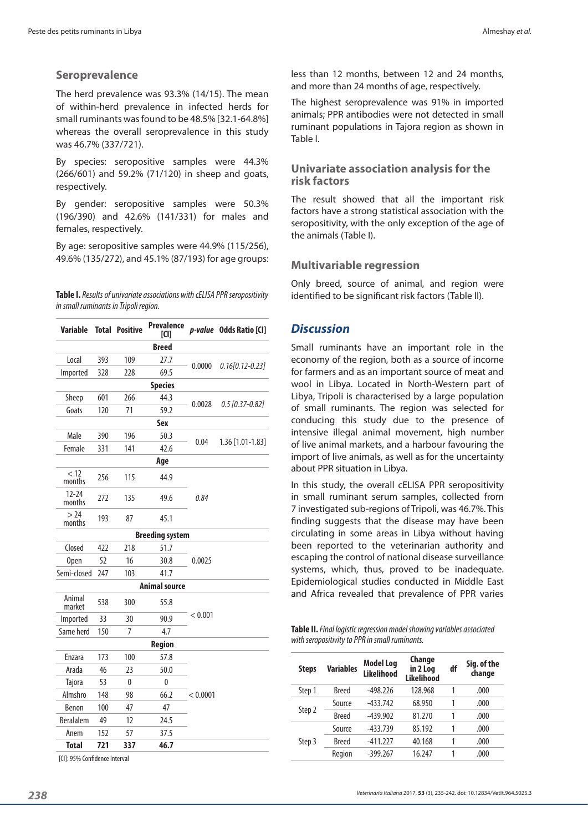### **Seroprevalence**

The herd prevalence was 93.3% (14/15). The mean of within‑herd prevalence in infected herds for small ruminants was found to be 48.5% [32.1‑64.8%] whereas the overall seroprevalence in this study was 46.7% (337/721).

By species: seropositive samples were 44.3% (266/601) and 59.2% (71/120) in sheep and goats, respectively.

By gender: seropositive samples were 50.3% (196/390) and 42.6% (141/331) for males and females, respectively.

By age: seropositive samples were 44.9% (115/256), 49.6% (135/272), and 45.1% (87/193) for age groups:

**Table I.** *Results of univariate associations with cELISA PPR seropositivity in small ruminants in Tripoli region.*

| Variable               |     | <b>Total Positive</b> | <b>Prevalence</b><br><b>ICII</b> |          | p-value Odds Ratio [CI] |  |  |  |  |
|------------------------|-----|-----------------------|----------------------------------|----------|-------------------------|--|--|--|--|
| <b>Breed</b>           |     |                       |                                  |          |                         |  |  |  |  |
| Local                  | 393 | 109                   | 27.7                             |          | $0.16[0.12-0.23]$       |  |  |  |  |
| Imported               | 328 | 228                   | 69.5                             | 0.0000   |                         |  |  |  |  |
| <b>Species</b>         |     |                       |                                  |          |                         |  |  |  |  |
| Sheep                  | 601 | 266                   | 44.3                             |          | $0.5$ [0.37-0.82]       |  |  |  |  |
| Goats                  | 120 | 71                    | 59.2                             | 0.0028   |                         |  |  |  |  |
|                        |     |                       | <b>Sex</b>                       |          |                         |  |  |  |  |
| Male                   | 390 | 196                   | 50.3                             |          |                         |  |  |  |  |
| Female                 | 331 | 141                   | 42.6                             | 0.04     | 1.36 [1.01-1.83]        |  |  |  |  |
| Age                    |     |                       |                                  |          |                         |  |  |  |  |
| < 12<br>months         | 256 | 115                   | 44.9                             |          |                         |  |  |  |  |
| $12 - 24$<br>months    | 272 | 135                   | 49.6                             | 0.84     |                         |  |  |  |  |
| >24<br>months          | 193 | 87                    | 45.1                             |          |                         |  |  |  |  |
| <b>Breeding system</b> |     |                       |                                  |          |                         |  |  |  |  |
| Closed                 | 422 | 218                   | 51.7                             |          |                         |  |  |  |  |
| <b>Open</b>            | 52  | 16                    | 30.8                             | 0.0025   |                         |  |  |  |  |
| Semi-closed            | 247 | 103                   | 41.7                             |          |                         |  |  |  |  |
| <b>Animal source</b>   |     |                       |                                  |          |                         |  |  |  |  |
| Animal<br>market       | 538 | 300                   | 55.8                             |          |                         |  |  |  |  |
| Imported               | 33  | 30                    | 90.9                             | < 0.001  |                         |  |  |  |  |
| Same herd              | 150 | 7                     | 4.7                              |          |                         |  |  |  |  |
| Region                 |     |                       |                                  |          |                         |  |  |  |  |
| Enzara                 | 173 | 100                   | 57.8                             |          |                         |  |  |  |  |
| Arada                  | 46  | 23                    | 50.0                             |          |                         |  |  |  |  |
| <b>Tajora</b>          | 53  | 0                     | 0                                |          |                         |  |  |  |  |
| Almshro                | 148 | 98                    | 66.2                             | < 0.0001 |                         |  |  |  |  |
| Benon                  | 100 | 47                    | 47                               |          |                         |  |  |  |  |
| <b>Beralalem</b>       | 49  | 12                    | 24.5                             |          |                         |  |  |  |  |
| Anem                   | 152 | 57                    | 37.5                             |          |                         |  |  |  |  |
| <b>Total</b>           | 721 | 337                   | 46.7                             |          |                         |  |  |  |  |

[CI]: 95% Confidence Interval

less than 12 months, between 12 and 24 months, and more than 24 months of age, respectively.

The highest seroprevalence was 91% in imported animals; PPR antibodies were not detected in small ruminant populations in Tajora region as shown in Table I.

#### **Univariate association analysis for the risk factors**

The result showed that all the important risk factors have a strong statistical association with the seropositivity, with the only exception of the age of the animals (Table I).

### **Multivariable regression**

Only breed, source of animal, and region were identified to be significant risk factors (Table II).

## *Discussion*

Small ruminants have an important role in the economy of the region, both as a source of income for farmers and as an important source of meat and wool in Libya. Located in North-Western part of Libya, Tripoli is characterised by a large population of small ruminants. The region was selected for conducing this study due to the presence of intensive illegal animal movement, high number of live animal markets, and a harbour favouring the import of live animals, as well as for the uncertainty about PPR situation in Libya.

In this study, the overall cELISA PPR seropositivity in small ruminant serum samples, collected from 7 investigated sub‑regions of Tripoli, was 46.7%. This finding suggests that the disease may have been circulating in some areas in Libya without having been reported to the veterinarian authority and escaping the control of national disease surveillance systems, which, thus, proved to be inadequate. Epidemiological studies conducted in Middle East and Africa revealed that prevalence of PPR varies

| Table II. Final logistic regression model showing variables associated |
|------------------------------------------------------------------------|
| with seropositivity to PPR in small ruminants.                         |

| <b>Steps</b> | <b>Variables</b> | <b>Model Log</b><br><b>Likelihood</b> | Change<br>in 2 Log | df | Sig. of the<br>change |
|--------------|------------------|---------------------------------------|--------------------|----|-----------------------|
|              |                  |                                       | <b>Likelihood</b>  |    |                       |
| Step 1       | <b>Breed</b>     | $-498.226$                            | 128.968            | 1  | .000                  |
| Step 2       | Source           | $-433.742$                            | 68.950             | 1  | .000                  |
|              | <b>Breed</b>     | $-439.902$                            | 81.270             | 1  | .000                  |
| Step 3       | Source           | $-433.739$                            | 85.192             | 1  | .000                  |
|              | <b>Breed</b>     | $-411.227$                            | 40.168             | 1  | .000                  |
|              | Region           | $-399.267$                            | 16.247             | 1  | .000                  |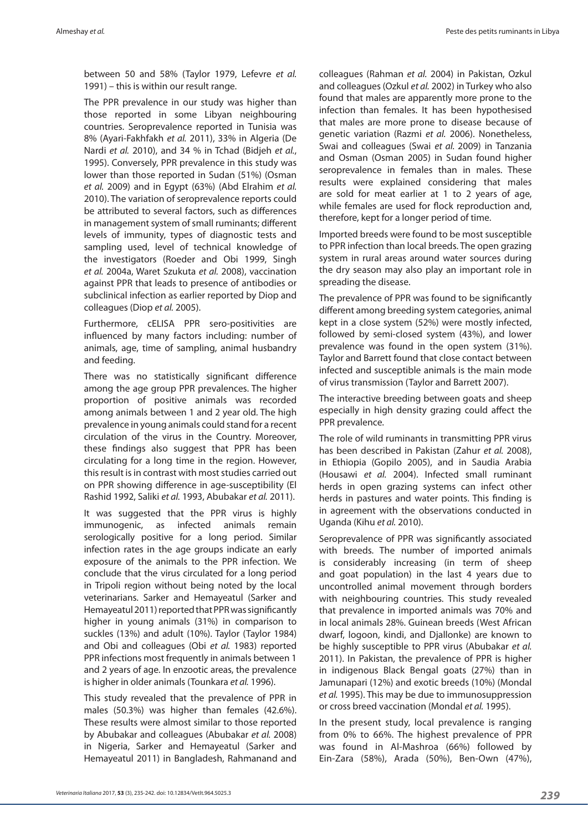between 50 and 58% (Taylor 1979, Lefevre *et al.* 1991) – this is within our result range.

The PPR prevalence in our study was higher than those reported in some Libyan neighbouring countries. Seroprevalence reported in Tunisia was 8% (Ayari‑Fakhfakh *et al.* 2011), 33% in Algeria (De Nardi *et al.* 2010), and 34 % in Tchad (Bidjeh *et al.*, 1995). Conversely, PPR prevalence in this study was lower than those reported in Sudan (51%) (Osman *et al.* 2009) and in Egypt (63%) (Abd Elrahim *et al.* 2010). The variation of seroprevalence reports could be attributed to several factors, such as differences in management system of small ruminants; different levels of immunity, types of diagnostic tests and sampling used, level of technical knowledge of the investigators (Roeder and Obi 1999, Singh *et al.* 2004a, Waret Szukuta *et al.* 2008), vaccination against PPR that leads to presence of antibodies or subclinical infection as earlier reported by Diop and colleagues (Diop *et al.* 2005).

Furthermore, cELISA PPR sero‑positivities are influenced by many factors including: number of animals, age, time of sampling, animal husbandry and feeding.

There was no statistically significant difference among the age group PPR prevalences. The higher proportion of positive animals was recorded among animals between 1 and 2 year old. The high prevalence in young animals could stand for a recent circulation of the virus in the Country. Moreover, these findings also suggest that PPR has been circulating for a long time in the region. However, this result is in contrast with most studies carried out on PPR showing difference in age‑susceptibility (El Rashid 1992, Saliki *et al.* 1993, Abubakar *et al.* 2011).

It was suggested that the PPR virus is highly immunogenic, as infected animals remain serologically positive for a long period. Similar infection rates in the age groups indicate an early exposure of the animals to the PPR infection. We conclude that the virus circulated for a long period in Tripoli region without being noted by the local veterinarians. Sarker and Hemayeatul (Sarker and Hemayeatul 2011) reported that PPR was significantly higher in young animals (31%) in comparison to suckles (13%) and adult (10%). Taylor (Taylor 1984) and Obi and colleagues (Obi *et al.* 1983) reported PPR infections most frequently in animals between 1 and 2 years of age. In enzootic areas, the prevalence is higher in older animals (Tounkara *et al.* 1996).

This study revealed that the prevalence of PPR in males (50.3%) was higher than females (42.6%). These results were almost similar to those reported by Abubakar and colleagues (Abubakar *et al.* 2008) in Nigeria, Sarker and Hemayeatul (Sarker and Hemayeatul 2011) in Bangladesh, Rahmanand and

colleagues (Rahman *et al.* 2004) in Pakistan, Ozkul and colleagues (Ozkul *et al.* 2002) in Turkey who also found that males are apparently more prone to the infection than females. It has been hypothesised that males are more prone to disease because of genetic variation (Razmi *et al.* 2006). Nonetheless, Swai and colleagues (Swai *et al.* 2009) in Tanzania and Osman (Osman 2005) in Sudan found higher seroprevalence in females than in males. These results were explained considering that males are sold for meat earlier at 1 to 2 years of age, while females are used for flock reproduction and, therefore, kept for a longer period of time.

Imported breeds were found to be most susceptible to PPR infection than local breeds. The open grazing system in rural areas around water sources during the dry season may also play an important role in spreading the disease.

The prevalence of PPR was found to be significantly different among breeding system categories, animal kept in a close system (52%) were mostly infected, followed by semi-closed system (43%), and lower prevalence was found in the open system (31%). Taylor and Barrett found that close contact between infected and susceptible animals is the main mode of virus transmission (Taylor and Barrett 2007).

The interactive breeding between goats and sheep especially in high density grazing could affect the PPR prevalence.

The role of wild ruminants in transmitting PPR virus has been described in Pakistan (Zahur *et al.* 2008), in Ethiopia (Gopilo 2005), and in Saudia Arabia (Housawi *et al.* 2004). Infected small ruminant herds in open grazing systems can infect other herds in pastures and water points. This finding is in agreement with the observations conducted in Uganda (Kihu *et al.* 2010).

Seroprevalence of PPR was significantly associated with breeds. The number of imported animals is considerably increasing (in term of sheep and goat population) in the last 4 years due to uncontrolled animal movement through borders with neighbouring countries. This study revealed that prevalence in imported animals was 70% and in local animals 28%. Guinean breeds (West African dwarf, logoon, kindi, and Djallonke) are known to be highly susceptible to PPR virus (Abubakar *et al.* 2011). In Pakistan, the prevalence of PPR is higher in indigenous Black Bengal goats (27%) than in Jamunapari (12%) and exotic breeds (10%) (Mondal *et al.* 1995). This may be due to immunosuppression or cross breed vaccination (Mondal *et al.* 1995).

In the present study, local prevalence is ranging from 0% to 66%. The highest prevalence of PPR was found in Al-Mashroa (66%) followed by Ein‑Zara (58%), Arada (50%), Ben‑Own (47%),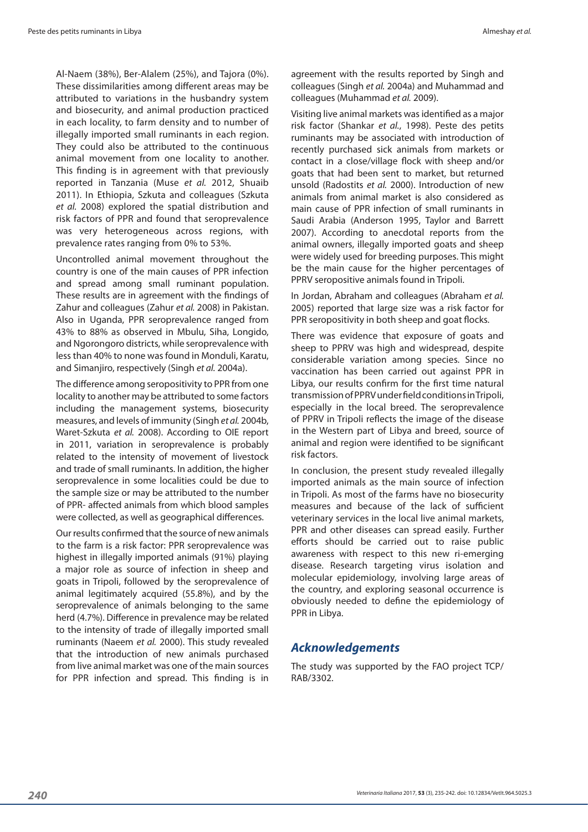Al‑Naem (38%), Ber‑Alalem (25%), and Tajora (0%). These dissimilarities among different areas may be attributed to variations in the husbandry system and biosecurity, and animal production practiced in each locality, to farm density and to number of illegally imported small ruminants in each region. They could also be attributed to the continuous animal movement from one locality to another. This finding is in agreement with that previously reported in Tanzania (Muse *et al.* 2012, Shuaib 2011). In Ethiopia, Szkuta and colleagues (Szkuta *et al.* 2008) explored the spatial distribution and risk factors of PPR and found that seroprevalence was very heterogeneous across regions, with prevalence rates ranging from 0% to 53%.

Uncontrolled animal movement throughout the country is one of the main causes of PPR infection and spread among small ruminant population. These results are in agreement with the findings of Zahur and colleagues (Zahur *et al.* 2008) in Pakistan. Also in Uganda, PPR seroprevalence ranged from 43% to 88% as observed in Mbulu, Siha, Longido, and Ngorongoro districts, while seroprevalence with less than 40% to none was found in Monduli, Karatu, and Simanjiro, respectively (Singh *et al.* 2004a).

The difference among seropositivity to PPR from one locality to another may be attributed to some factors including the management systems, biosecurity measures, and levels of immunity (Singh *et al.* 2004b, Waret‑Szkuta *et al.* 2008). According to OIE report in 2011, variation in seroprevalence is probably related to the intensity of movement of livestock and trade of small ruminants. In addition, the higher seroprevalence in some localities could be due to the sample size or may be attributed to the number of PPR‑ affected animals from which blood samples were collected, as well as geographical differences.

Our results confirmed that the source of new animals to the farm is a risk factor: PPR seroprevalence was highest in illegally imported animals (91%) playing a major role as source of infection in sheep and goats in Tripoli, followed by the seroprevalence of animal legitimately acquired (55.8%), and by the seroprevalence of animals belonging to the same herd (4.7%). Difference in prevalence may be related to the intensity of trade of illegally imported small ruminants (Naeem *et al.* 2000). This study revealed that the introduction of new animals purchased from live animal market was one of the main sources for PPR infection and spread. This finding is in agreement with the results reported by Singh and colleagues (Singh *et al.* 2004a) and Muhammad and colleagues (Muhammad *et al.* 2009).

Visiting live animal markets was identified as a major risk factor (Shankar *et al.*, 1998). Peste des petits ruminants may be associated with introduction of recently purchased sick animals from markets or contact in a close/village flock with sheep and/or goats that had been sent to market, but returned unsold (Radostits *et al.* 2000). Introduction of new animals from animal market is also considered as main cause of PPR infection of small ruminants in Saudi Arabia (Anderson 1995, Taylor and Barrett 2007). According to anecdotal reports from the animal owners, illegally imported goats and sheep were widely used for breeding purposes. This might be the main cause for the higher percentages of PPRV seropositive animals found in Tripoli.

In Jordan, Abraham and colleagues (Abraham *et al.* 2005) reported that large size was a risk factor for PPR seropositivity in both sheep and goat flocks.

There was evidence that exposure of goats and sheep to PPRV was high and widespread, despite considerable variation among species. Since no vaccination has been carried out against PPR in Libya, our results confirm for the first time natural transmission of PPRV under field conditions in Tripoli, especially in the local breed. The seroprevalence of PPRV in Tripoli reflects the image of the disease in the Western part of Libya and breed, source of animal and region were identified to be significant risk factors.

In conclusion, the present study revealed illegally imported animals as the main source of infection in Tripoli. As most of the farms have no biosecurity measures and because of the lack of sufficient veterinary services in the local live animal markets, PPR and other diseases can spread easily. Further efforts should be carried out to raise public awareness with respect to this new ri-emerging disease. Research targeting virus isolation and molecular epidemiology, involving large areas of the country, and exploring seasonal occurrence is obviously needed to define the epidemiology of PPR in Libya.

### *Acknowledgements*

The study was supported by the FAO project TCP/ RAB/3302.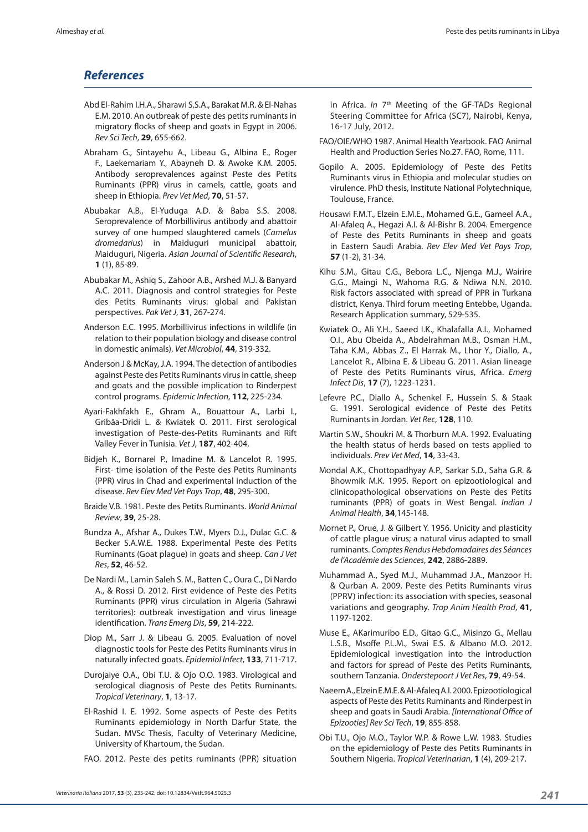# *References*

- Abd El‑Rahim I.H.A., Sharawi S.S.A., Barakat M.R. & El‑Nahas E.M. 2010. An outbreak of peste des petits ruminants in migratory flocks of sheep and goats in Egypt in 2006. *Rev Sci Tech*, **29**, 655‑662.
- Abraham G., Sintayehu A., Libeau G., Albina E., Roger F., Laekemariam Y., Abayneh D. & Awoke K.M. 2005. Antibody seroprevalences against Peste des Petits Ruminants (PPR) virus in camels, cattle, goats and sheep in Ethiopia. *Prev Vet Med*, **70**, 51-57.
- Abubakar A.B., El‑Yuduga A.D. & Baba S.S. 2008. Seroprevalence of Morbillivirus antibody and abattoir survey of one humped slaughtered camels (*Camelus dromedarius*) in Maiduguri municipal abattoir, Maiduguri, Nigeria. *Asian Journal of Scientific Research*, **1** (1), 85-89.
- Abubakar M., Ashiq S., Zahoor A.B., Arshed M.J. & Banyard A.C. 2011. Diagnosis and control strategies for Peste des Petits Ruminants virus: global and Pakistan perspectives. *Pak Vet J*, **31**, 267‑274.
- Anderson E.C. 1995. Morbillivirus infections in wildlife (in relation to their population biology and disease control in domestic animals). *Vet Microbiol*, **44**, 319‑332.
- Anderson J & McKay, J.A. 1994. The detection of antibodies against Peste des Petits Ruminants virus in cattle, sheep and goats and the possible implication to Rinderpest control programs. *Epidemic Infection*, **112**, 225‑234.
- Ayari‑Fakhfakh E., Ghram A., Bouattour A., Larbi I., Gribâa‑Dridi L. & Kwiatek O. 2011. First serological investigation of Peste‑des‑Petits Ruminants and Rift Valley Fever in Tunisia. *Vet J*, **187**, 402-404.
- Bidjeh K., Bornarel P., Imadine M. & Lancelot R. 1995. First- time isolation of the Peste des Petits Ruminants (PPR) virus in Chad and experimental induction of the disease. *Rev Elev Med Vet Pays Trop*, **48**, 295-300.
- Braide V.B. 1981. Peste des Petits Ruminants. *World Animal Review*, **39**, 25‑28.
- Bundza A., Afshar A., Dukes T.W., Myers D.J., Dulac G.C. & Becker S.A.W.E. 1988. Experimental Peste des Petits Ruminants (Goat plague) in goats and sheep. *Can J Vet Res*, **52**, 46‑52.
- De Nardi M., Lamin Saleh S. M., Batten C., Oura C., Di Nardo A., & Rossi D. 2012. First evidence of Peste des Petits Ruminants (PPR) virus circulation in Algeria (Sahrawi territories): outbreak investigation and virus lineage identification. *Trans Emerg Dis*, **59**, 214-222.
- Diop M., Sarr J. & Libeau G. 2005. Evaluation of novel diagnostic tools for Peste des Petits Ruminants virus in naturally infected goats. *Epidemiol Infect*, **133**, 711-717.
- Durojaiye O.A., Obi T.U. & Ojo O.O. 1983. Virological and serological diagnosis of Peste des Petits Ruminants. *Tropical Veterinary*, **1**, 13-17.
- El-Rashid I. E. 1992. Some aspects of Peste des Petits Ruminants epidemiology in North Darfur State, the Sudan. MVSc Thesis, Faculty of Veterinary Medicine, University of Khartoum, the Sudan.
- FAO. 2012. Peste des petits ruminants (PPR) situation

in Africa. *In* 7<sup>th</sup> Meeting of the GF-TADs Regional Steering Committee for Africa (SC7), Nairobi, Kenya, 16‑17 July, 2012.

- FAO/OIE/WHO 1987. Animal Health Yearbook. FAO Animal Health and Production Series No.27. FAO, Rome, 111.
- Gopilo A. 2005. Epidemiology of Peste des Petits Ruminants virus in Ethiopia and molecular studies on virulence. PhD thesis, Institute National Polytechnique, Toulouse, France.
- Housawi F.M.T., Elzein E.M.E., Mohamed G.E., Gameel A.A., Al‑Afaleq A., Hegazi A.I. & Al‑Bishr B. 2004. Emergence of Peste des Petits Ruminants in sheep and goats in Eastern Saudi Arabia. *Rev Elev Med Vet Pays Trop*, **57** (1‑2), 31‑34.
- Kihu S.M., Gitau C.G., Bebora L.C., Njenga M.J., Wairire G.G., Maingi N., Wahoma R.G. & Ndiwa N.N. 2010. Risk factors associated with spread of PPR in Turkana district, Kenya. Third forum meeting Entebbe, Uganda. Research Application summary, 529‑535.
- Kwiatek O., Ali Y.H., Saeed I.K., Khalafalla A.I., Mohamed O.I., Abu Obeida A., Abdelrahman M.B., Osman H.M., Taha K.M., Abbas Z., El Harrak M., Lhor Y., Diallo, A., Lancelot R., Albina E. & Libeau G. 2011. Asian lineage of Peste des Petits Ruminants virus, Africa. *Emerg Infect Dis*, **17** (7), 1223‑1231.
- Lefevre P.C., Diallo A., Schenkel F., Hussein S. & Staak G. 1991. Serological evidence of Peste des Petits Ruminants in Jordan. *Vet Rec*, **128**, 110.
- Martin S.W., Shoukri M. & Thorburn M.A. 1992. Evaluating the health status of herds based on tests applied to individuals. *Prev Vet Med*, **14**, 33‑43.
- Mondal A.K., Chottopadhyay A.P., Sarkar S.D., Saha G.R. & Bhowmik M.K. 1995. Report on epizootiological and clinicopathological observations on Peste des Petits ruminants (PPR) of goats in West Bengal. *Indian J Animal Health*, **34**,145‑148.
- Mornet P., Orue, J. & Gilbert Y. 1956. Unicity and plasticity of cattle plague virus; a natural virus adapted to small ruminants. *Comptes Rendus Hebdomadaires des Séances de l'Académie des Sciences*, **242**, 2886-2889.
- Muhammad A., Syed M.J., Muhammad J.A., Manzoor H. & Qurban A. 2009. Peste des Petits Ruminants virus (PPRV) infection: its association with species, seasonal variations and geography. *Trop Anim Health Prod*, **41**, 1197-1202.
- Muse E., AKarimuribo E.D., Gitao G.C., Misinzo G., Mellau L.S.B., Msoffe P.L.M., Swai E.S. & Albano M.O. 2012. Epidemiological investigation into the introduction and factors for spread of Peste des Petits Ruminants, southern Tanzania. *Onderstepoort J Vet Res*, **79**, 49-54.
- Naeem A., Elzein E.M.E. & Al‑Afaleq A.I. 2000. Epizootiological aspects of Peste des Petits Ruminants and Rinderpest in sheep and goats in Saudi Arabia. *[International Office of Epizooties] Rev Sci Tech*, **19**, 855‑858.
- Obi T.U., Ojo M.O., Taylor W.P. & Rowe L.W. 1983. Studies on the epidemiology of Peste des Petits Ruminants in Southern Nigeria. *Tropical Veterinarian*, **1** (4), 209‑217.